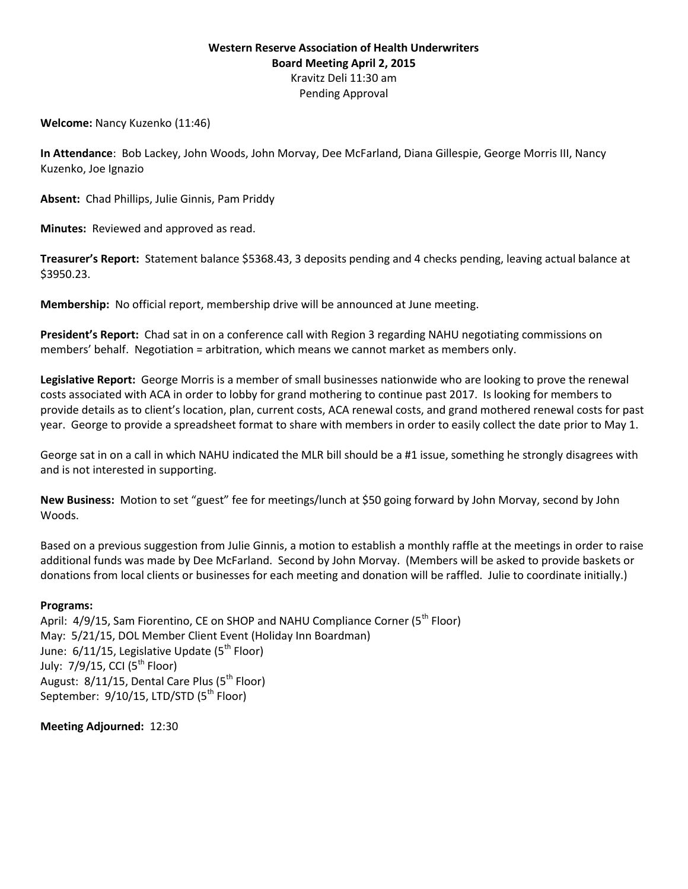### **Western Reserve Association of Health Underwriters Board Meeting April 2, 2015** Kravitz Deli 11:30 am Pending Approval

**Welcome:** Nancy Kuzenko (11:46)

**In Attendance**: Bob Lackey, John Woods, John Morvay, Dee McFarland, Diana Gillespie, George Morris III, Nancy Kuzenko, Joe Ignazio

**Absent:** Chad Phillips, Julie Ginnis, Pam Priddy

**Minutes:** Reviewed and approved as read.

**Treasurer's Report:** Statement balance \$5368.43, 3 deposits pending and 4 checks pending, leaving actual balance at \$3950.23.

**Membership:** No official report, membership drive will be announced at June meeting.

**President's Report:** Chad sat in on a conference call with Region 3 regarding NAHU negotiating commissions on members' behalf. Negotiation = arbitration, which means we cannot market as members only.

**Legislative Report:** George Morris is a member of small businesses nationwide who are looking to prove the renewal costs associated with ACA in order to lobby for grand mothering to continue past 2017. Is looking for members to provide details as to client's location, plan, current costs, ACA renewal costs, and grand mothered renewal costs for past year. George to provide a spreadsheet format to share with members in order to easily collect the date prior to May 1.

George sat in on a call in which NAHU indicated the MLR bill should be a #1 issue, something he strongly disagrees with and is not interested in supporting.

**New Business:** Motion to set "guest" fee for meetings/lunch at \$50 going forward by John Morvay, second by John Woods.

Based on a previous suggestion from Julie Ginnis, a motion to establish a monthly raffle at the meetings in order to raise additional funds was made by Dee McFarland. Second by John Morvay. (Members will be asked to provide baskets or donations from local clients or businesses for each meeting and donation will be raffled. Julie to coordinate initially.)

#### **Programs:**

April: 4/9/15, Sam Fiorentino, CE on SHOP and NAHU Compliance Corner (5<sup>th</sup> Floor) May: 5/21/15, DOL Member Client Event (Holiday Inn Boardman) June: 6/11/15, Legislative Update (5<sup>th</sup> Floor) July:  $7/9/15$ , CCI ( $5<sup>th</sup>$  Floor) August:  $8/11/15$ , Dental Care Plus ( $5<sup>th</sup>$  Floor) September:  $9/10/15$ , LTD/STD (5<sup>th</sup> Floor)

**Meeting Adjourned:** 12:30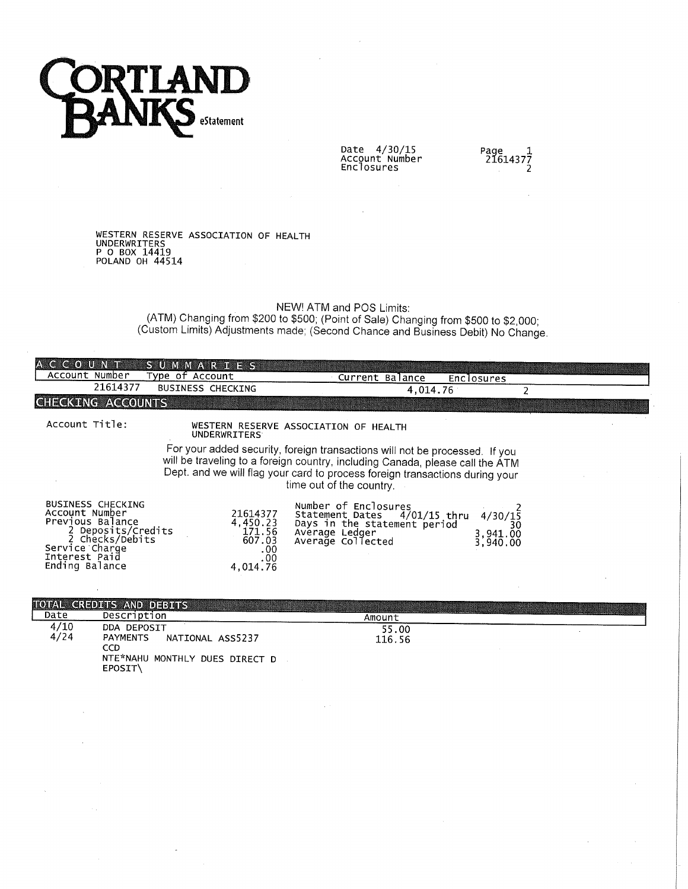

Date 4/30/15<br>Account Number<br>Enclosures

 $\mathcal{A}$ 

Page<br>21614377<br>2

# WESTERN RESERVE ASSOCIATION OF HEALTH<br>UNDERWRITERS<br>P O BOX 14419<br>POLAND OH 44514

i.

### NEW! ATM and POS Limits:

(ATM) Changing from \$200 to \$500; (Point of Sale) Changing from \$500 to \$2,000;<br>(Custom Limits) Adjustments made; (Second Chance and Business Debit) No Change.

| A C C O U N T                                                                                                                                                | <b>SUMMARIES</b>                                                   |                                                                                                                                                                                                                                                                          |                                       |
|--------------------------------------------------------------------------------------------------------------------------------------------------------------|--------------------------------------------------------------------|--------------------------------------------------------------------------------------------------------------------------------------------------------------------------------------------------------------------------------------------------------------------------|---------------------------------------|
| Account Number                                                                                                                                               | Type of Account                                                    | Current Balance                                                                                                                                                                                                                                                          | <b>Enclosures</b>                     |
| 21614377                                                                                                                                                     | BUSINESS CHECKING                                                  | 4,014.76                                                                                                                                                                                                                                                                 |                                       |
| CHECKING ACCOUNTS                                                                                                                                            |                                                                    |                                                                                                                                                                                                                                                                          |                                       |
| Account Title:                                                                                                                                               | <b>UNDERWRITERS</b>                                                | WESTERN RESERVE ASSOCIATION OF HEALTH                                                                                                                                                                                                                                    |                                       |
|                                                                                                                                                              |                                                                    | For your added security, foreign transactions will not be processed. If you<br>will be traveling to a foreign country, including Canada, please call the ATM<br>Dept. and we will flag your card to process foreign transactions during your<br>time out of the country. |                                       |
| <b>BUSINESS CHECKING</b><br>Account Number<br>Previous Balance<br>2 Deposits/Credits<br>2 Checks/Debits<br>Service Charge<br>Interest Paid<br>Ending Balance | 21614377<br>4,450.23<br>171.56<br>607.03<br>.00<br>.00<br>4,014.76 | Number of Enclosures<br>Statement Dates 4/01/15 thru<br>Days in the statement period<br>Average Ledger<br>Average Collected                                                                                                                                              | 4/30/15<br>30<br>3,941.00<br>3,940.00 |
|                                                                                                                                                              |                                                                    |                                                                                                                                                                                                                                                                          |                                       |
| TOTAL CREDITS AND DEBITS<br>Date<br>Description                                                                                                              |                                                                    |                                                                                                                                                                                                                                                                          |                                       |
| 1/10<br>DDA BEBACTT                                                                                                                                          |                                                                    | Amount                                                                                                                                                                                                                                                                   |                                       |

|              |                                                                                                 | - - - - - - - - - |  |
|--------------|-------------------------------------------------------------------------------------------------|-------------------|--|
| 4/10<br>4/24 | DDA DEPOSIT<br>PAYMENTS<br>NATIONAL ASS5237<br>CCD<br>NTE*NAHU MONTHLY DUES DIRECT D<br>EPOSIT\ | 55.00<br>116.56   |  |